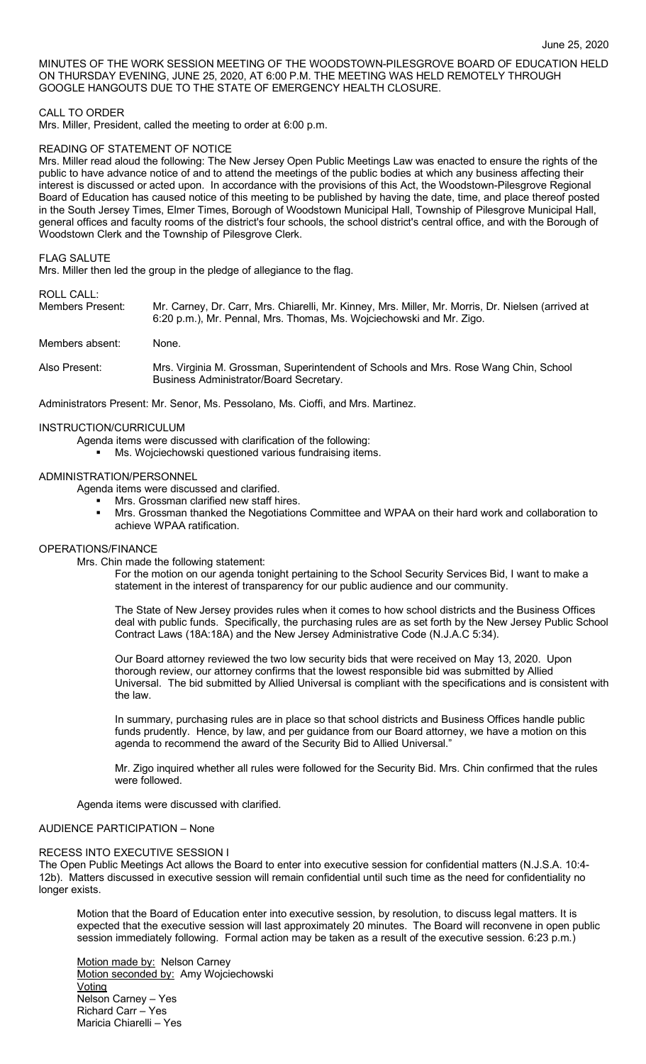MINUTES OF THE WORK SESSION MEETING OF THE WOODSTOWN-PILESGROVE BOARD OF EDUCATION HELD ON THURSDAY EVENING, JUNE 25, 2020, AT 6:00 P.M. THE MEETING WAS HELD REMOTELY THROUGH GOOGLE HANGOUTS DUE TO THE STATE OF EMERGENCY HEALTH CLOSURE.

## CALL TO ORDER

Mrs. Miller, President, called the meeting to order at 6:00 p.m.

### READING OF STATEMENT OF NOTICE

Mrs. Miller read aloud the following: The New Jersey Open Public Meetings Law was enacted to ensure the rights of the public to have advance notice of and to attend the meetings of the public bodies at which any business affecting their interest is discussed or acted upon. In accordance with the provisions of this Act, the Woodstown-Pilesgrove Regional Board of Education has caused notice of this meeting to be published by having the date, time, and place thereof posted in the South Jersey Times, Elmer Times, Borough of Woodstown Municipal Hall, Township of Pilesgrove Municipal Hall, general offices and faculty rooms of the district's four schools, the school district's central office, and with the Borough of Woodstown Clerk and the Township of Pilesgrove Clerk.

#### FLAG SALUTE

Mrs. Miller then led the group in the pledge of allegiance to the flag.

# ROLL CALL:<br>Members Present:

Mr. Carney, Dr. Carr, Mrs. Chiarelli, Mr. Kinney, Mrs. Miller, Mr. Morris, Dr. Nielsen (arrived at 6:20 p.m.), Mr. Pennal, Mrs. Thomas, Ms. Wojciechowski and Mr. Zigo.

## Members absent: None.

Also Present: Mrs. Virginia M. Grossman, Superintendent of Schools and Mrs. Rose Wang Chin, School Business Administrator/Board Secretary.

Administrators Present: Mr. Senor, Ms. Pessolano, Ms. Cioffi, and Mrs. Martinez.

## INSTRUCTION/CURRICULUM

- Agenda items were discussed with clarification of the following:
	- Ms. Wojciechowski questioned various fundraising items.

## ADMINISTRATION/PERSONNEL

Agenda items were discussed and clarified.

- Mrs. Grossman clarified new staff hires.
- **■** Mrs. Grossman thanked the Negotiations Committee and WPAA on their hard work and collaboration to achieve WPAA ratification.

## OPERATIONS/FINANCE

Mrs. Chin made the following statement:

For the motion on our agenda tonight pertaining to the School Security Services Bid, I want to make a statement in the interest of transparency for our public audience and our community.

The State of New Jersey provides rules when it comes to how school districts and the Business Offices deal with public funds. Specifically, the purchasing rules are as set forth by the New Jersey Public School Contract Laws (18A:18A) and the New Jersey Administrative Code (N.J.A.C 5:34).

Our Board attorney reviewed the two low security bids that were received on May 13, 2020. Upon thorough review, our attorney confirms that the lowest responsible bid was submitted by Allied Universal. The bid submitted by Allied Universal is compliant with the specifications and is consistent with the law.

In summary, purchasing rules are in place so that school districts and Business Offices handle public funds prudently. Hence, by law, and per guidance from our Board attorney, we have a motion on this agenda to recommend the award of the Security Bid to Allied Universal."

Mr. Zigo inquired whether all rules were followed for the Security Bid. Mrs. Chin confirmed that the rules were followed.

Agenda items were discussed with clarified.

#### AUDIENCE PARTICIPATION – None

## RECESS INTO EXECUTIVE SESSION I

The Open Public Meetings Act allows the Board to enter into executive session for confidential matters (N.J.S.A. 10:4- 12b). Matters discussed in executive session will remain confidential until such time as the need for confidentiality no longer exists.

Motion that the Board of Education enter into executive session, by resolution, to discuss legal matters. It is expected that the executive session will last approximately 20 minutes. The Board will reconvene in open public session immediately following. Formal action may be taken as a result of the executive session. 6:23 p.m.)

Motion made by: Nelson Carney Motion seconded by: Amy Wojciechowski **Voting** Nelson Carney – Yes Richard Carr – Yes Maricia Chiarelli – Yes